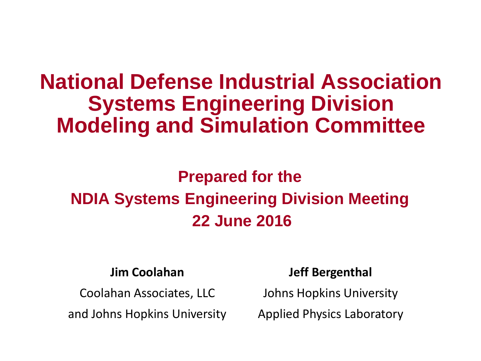# **National Defense Industrial Association Systems Engineering Division Modeling and Simulation Committee**

## **Prepared for the NDIA Systems Engineering Division Meeting 22 June 2016**

#### **Jim Coolahan**

Coolahan Associates, LLC

and Johns Hopkins University

#### **Jeff Bergenthal**

Johns Hopkins University

Applied Physics Laboratory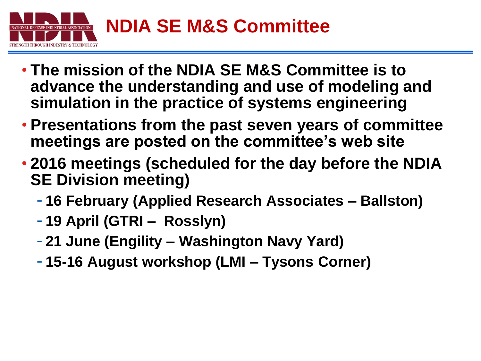

- **The mission of the NDIA SE M&S Committee is to advance the understanding and use of modeling and simulation in the practice of systems engineering**
- **Presentations from the past seven years of committee meetings are posted on the committee's web site**
- **2016 meetings (scheduled for the day before the NDIA SE Division meeting)**
	- **16 February (Applied Research Associates – Ballston)**
	- **19 April (GTRI Rosslyn)**
	- **21 June (Engility – Washington Navy Yard)**
	- **15-16 August workshop (LMI – Tysons Corner)**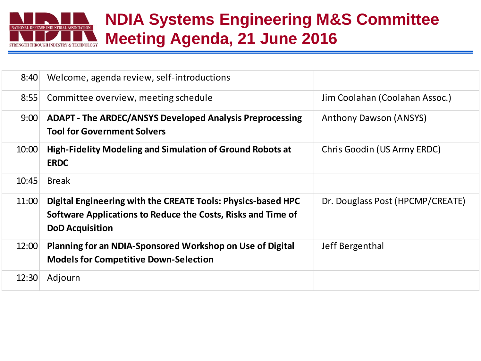

### **NDIA Systems Engineering M&S Committee Meeting Agenda, 21 June 2016**

| 8:40  | Welcome, agenda review, self-introductions                                                                                                             |                                  |
|-------|--------------------------------------------------------------------------------------------------------------------------------------------------------|----------------------------------|
| 8:55  | Committee overview, meeting schedule                                                                                                                   | Jim Coolahan (Coolahan Assoc.)   |
| 9:00  | ADAPT - The ARDEC/ANSYS Developed Analysis Preprocessing<br><b>Tool for Government Solvers</b>                                                         | <b>Anthony Dawson (ANSYS)</b>    |
| 10:00 | High-Fidelity Modeling and Simulation of Ground Robots at<br><b>ERDC</b>                                                                               | Chris Goodin (US Army ERDC)      |
| 10:45 | <b>Break</b>                                                                                                                                           |                                  |
| 11:00 | Digital Engineering with the CREATE Tools: Physics-based HPC<br>Software Applications to Reduce the Costs, Risks and Time of<br><b>DoD Acquisition</b> | Dr. Douglass Post (HPCMP/CREATE) |
| 12:00 | Planning for an NDIA-Sponsored Workshop on Use of Digital<br><b>Models for Competitive Down-Selection</b>                                              | Jeff Bergenthal                  |
| 12:30 | Adjourn                                                                                                                                                |                                  |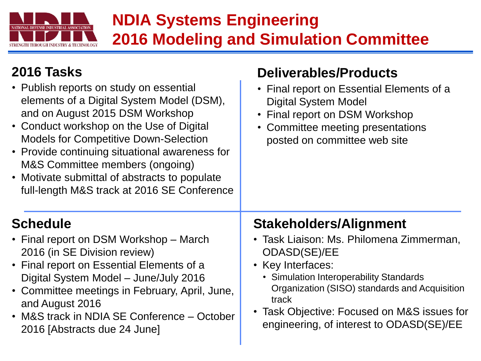

## **NDIA Systems Engineering 2016 Modeling and Simulation Committee**

**Deliverables/Products**

#### **2016 Tasks**

| • Publish reports on study on essential<br>elements of a Digital System Model (DSM),<br>and on August 2015 DSM Workshop<br>• Conduct workshop on the Use of Digital<br><b>Models for Competitive Down-Selection</b><br>• Provide continuing situational awareness for<br>M&S Committee members (ongoing)<br>• Motivate submittal of abstracts to populate<br>full-length M&S track at 2016 SE Conference | • Final report on Essential Elements of a<br><b>Digital System Model</b><br>• Final report on DSM Workshop<br>• Committee meeting presentations<br>posted on committee web site |
|----------------------------------------------------------------------------------------------------------------------------------------------------------------------------------------------------------------------------------------------------------------------------------------------------------------------------------------------------------------------------------------------------------|---------------------------------------------------------------------------------------------------------------------------------------------------------------------------------|
| <b>Schedule</b>                                                                                                                                                                                                                                                                                                                                                                                          | <b>Stakeholders/Alignment</b>                                                                                                                                                   |
| • Final report on DSM Workshop – March                                                                                                                                                                                                                                                                                                                                                                   | • Task Liaison: Ms. Philomena Zimmerman,                                                                                                                                        |
| 2016 (in SE Division review)                                                                                                                                                                                                                                                                                                                                                                             | ODASD(SE)/EE                                                                                                                                                                    |
| • Final report on Essential Elements of a                                                                                                                                                                                                                                                                                                                                                                | • Key Interfaces:                                                                                                                                                               |
| Digital System Model - June/July 2016                                                                                                                                                                                                                                                                                                                                                                    | • Simulation Interoperability Standards                                                                                                                                         |
| • Committee meetings in February, April, June,                                                                                                                                                                                                                                                                                                                                                           | Organization (SISO) standards and Acquisition                                                                                                                                   |
| and August 2016                                                                                                                                                                                                                                                                                                                                                                                          | track                                                                                                                                                                           |
| • M&S track in NDIA SE Conference – October                                                                                                                                                                                                                                                                                                                                                              | • Task Objective: Focused on M&S issues for                                                                                                                                     |
| 2016 [Abstracts due 24 June]                                                                                                                                                                                                                                                                                                                                                                             | engineering, of interest to ODASD(SE)/EE                                                                                                                                        |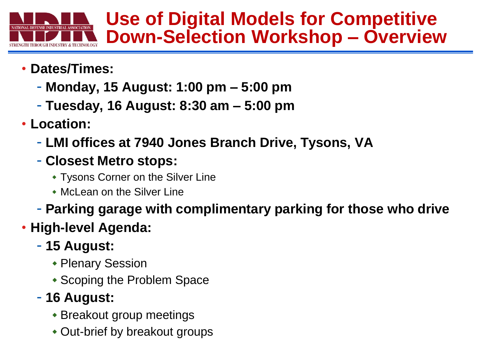

## **Use of Digital Models for Competitive Down-Selection Workshop – Overview**

- **Dates/Times:**
	- **Monday, 15 August: 1:00 pm – 5:00 pm**
	- **Tuesday, 16 August: 8:30 am – 5:00 pm**
- **Location:**
	- **LMI offices at 7940 Jones Branch Drive, Tysons, VA**
	- **Closest Metro stops:**
		- Tysons Corner on the Silver Line
		- McLean on the Silver Line
	- **Parking garage with complimentary parking for those who drive**
- **High-level Agenda:**
	- **15 August:**
		- Plenary Session
		- Scoping the Problem Space

### - **16 August:**

- Breakout group meetings
- Out-brief by breakout groups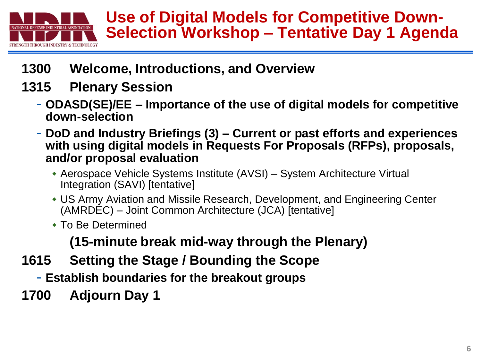

- **1300 Welcome, Introductions, and Overview**
- **1315 Plenary Session**
	- **ODASD(SE)/EE – Importance of the use of digital models for competitive down-selection**
	- **DoD and Industry Briefings (3) – Current or past efforts and experiences with using digital models in Requests For Proposals (RFPs), proposals, and/or proposal evaluation**
		- Aerospace Vehicle Systems Institute (AVSI) System Architecture Virtual Integration (SAVI) [tentative]
		- US Army Aviation and Missile Research, Development, and Engineering Center (AMRDEC) – Joint Common Architecture (JCA) [tentative]
		- To Be Determined

**(15-minute break mid-way through the Plenary)**

- **1615 Setting the Stage / Bounding the Scope**
	- **Establish boundaries for the breakout groups**
- **1700 Adjourn Day 1**